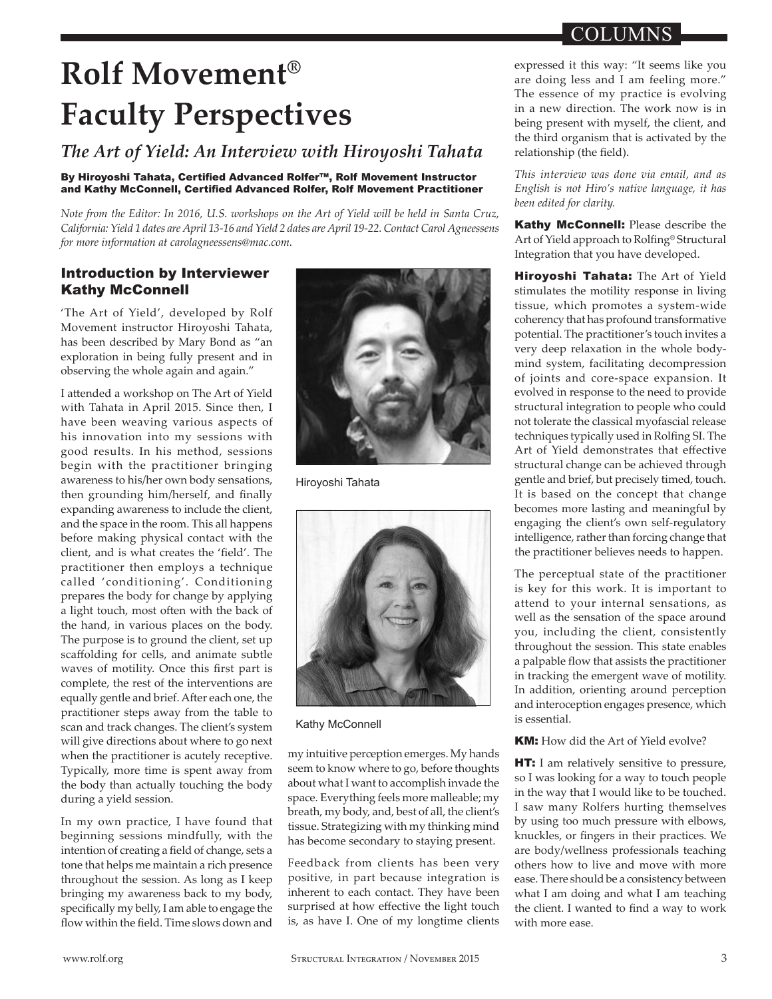# COLUMNS

# **Rolf Movement® Faculty Perspectives**

# *The Art of Yield: An Interview with Hiroyoshi Tahata*

#### By Hiroyoshi Tahata, Certified Advanced Rolfer™, Rolf Movement Instructor and Kathy McConnell, Certified Advanced Rolfer, Rolf Movement Practitioner

*Note from the Editor: In 2016, U.S. workshops on the Art of Yield will be held in Santa Cruz, California: Yield 1 dates are April 13-16 and Yield 2 dates are April 19-22. Contact Carol Agneessens for more information at carolagneessens@mac.com.*

## Introduction by Interviewer Kathy McConnell

'The Art of Yield', developed by Rolf Movement instructor Hiroyoshi Tahata, has been described by Mary Bond as "an exploration in being fully present and in observing the whole again and again."

I attended a workshop on The Art of Yield with Tahata in April 2015. Since then, I have been weaving various aspects of his innovation into my sessions with good results. In his method, sessions begin with the practitioner bringing awareness to his/her own body sensations, then grounding him/herself, and finally expanding awareness to include the client, and the space in the room. This all happens before making physical contact with the client, and is what creates the 'field'. The practitioner then employs a technique called 'conditioning'. Conditioning prepares the body for change by applying a light touch, most often with the back of the hand, in various places on the body. The purpose is to ground the client, set up scaffolding for cells, and animate subtle waves of motility. Once this first part is complete, the rest of the interventions are equally gentle and brief. After each one, the practitioner steps away from the table to scan and track changes. The client's system will give directions about where to go next when the practitioner is acutely receptive. Typically, more time is spent away from the body than actually touching the body during a yield session.

In my own practice, I have found that beginning sessions mindfully, with the intention of creating a field of change, sets a tone that helps me maintain a rich presence throughout the session. As long as I keep bringing my awareness back to my body, specifically my belly, I am able to engage the flow within the field. Time slows down and



Hiroyoshi Tahata



#### Kathy McConnell

my intuitive perception emerges. My hands seem to know where to go, before thoughts about what I want to accomplish invade the space. Everything feels more malleable; my breath, my body, and, best of all, the client's tissue. Strategizing with my thinking mind has become secondary to staying present.

Feedback from clients has been very positive, in part because integration is inherent to each contact. They have been surprised at how effective the light touch is, as have I. One of my longtime clients expressed it this way: "It seems like you are doing less and I am feeling more." The essence of my practice is evolving in a new direction. The work now is in being present with myself, the client, and the third organism that is activated by the relationship (the field).

*This interview was done via email, and as English is not Hiro's native language, it has been edited for clarity.*

Kathy McConnell: Please describe the Art of Yield approach to Rolfing® Structural Integration that you have developed.

Hiroyoshi Tahata: The Art of Yield stimulates the motility response in living tissue, which promotes a system-wide coherency that has profound transformative potential. The practitioner's touch invites a very deep relaxation in the whole bodymind system, facilitating decompression of joints and core-space expansion. It evolved in response to the need to provide structural integration to people who could not tolerate the classical myofascial release techniques typically used in Rolfing SI. The Art of Yield demonstrates that effective structural change can be achieved through gentle and brief, but precisely timed, touch. It is based on the concept that change becomes more lasting and meaningful by engaging the client's own self-regulatory intelligence, rather than forcing change that the practitioner believes needs to happen.

The perceptual state of the practitioner is key for this work. It is important to attend to your internal sensations, as well as the sensation of the space around you, including the client, consistently throughout the session. This state enables a palpable flow that assists the practitioner in tracking the emergent wave of motility. In addition, orienting around perception and interoception engages presence, which is essential.

#### **KM:** How did the Art of Yield evolve?

**HT:** I am relatively sensitive to pressure, so I was looking for a way to touch people in the way that I would like to be touched. I saw many Rolfers hurting themselves by using too much pressure with elbows, knuckles, or fingers in their practices. We are body/wellness professionals teaching others how to live and move with more ease. There should be a consistency between what I am doing and what I am teaching the client. I wanted to find a way to work with more ease.